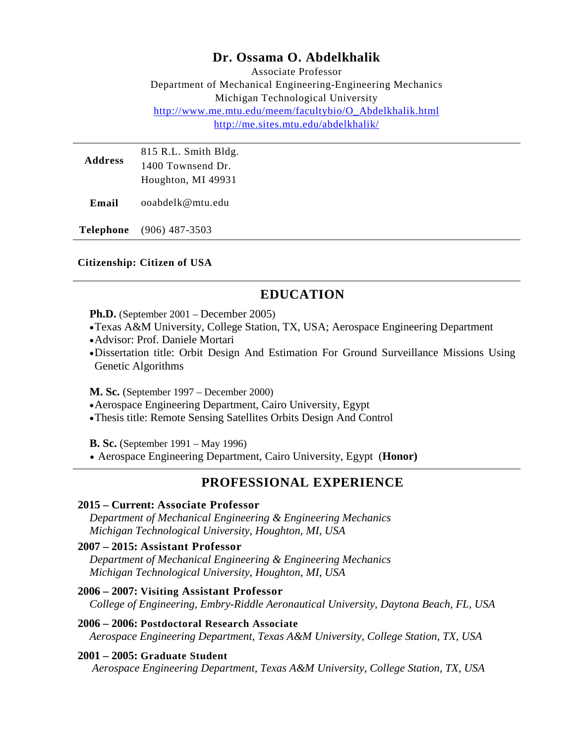## **Dr. Ossama O. Abdelkhalik**

Associate Professor Department of Mechanical Engineering-Engineering Mechanics Michigan Technological University [http://www.me.mtu.edu/meem/facultybio/O\\_Abdelkhalik.html](http://www.me.mtu.edu/meem/facultybio/O_Abdelkhalik.html) <http://me.sites.mtu.edu/abdelkhalik/>

| <b>Address</b> | 815 R.L. Smith Bldg. |
|----------------|----------------------|
|                | 1400 Townsend Dr.    |
|                | Houghton, MI 49931   |

**Email** ooabdelk@mtu.edu

**Telephone** (906) 487-3503

#### **Citizenship: Citizen of USA**

## **EDUCATION**

**Ph.D.** (September 2001 – December 2005)

- •Texas A&M University, College Station, TX, USA; Aerospace Engineering Department
- •Advisor: Prof. Daniele Mortari
- •Dissertation title: Orbit Design And Estimation For Ground Surveillance Missions Using Genetic Algorithms

**M. Sc.** (September 1997 – December 2000)

- •Aerospace Engineering Department, Cairo University, Egypt
- •Thesis title: Remote Sensing Satellites Orbits Design And Control

**B. Sc.** (September 1991 – May 1996)

• Aerospace Engineering Department, Cairo University, Egypt (**Honor)**

### **PROFESSIONAL EXPERIENCE**

#### **2015 – Current: Associate Professor**

*Department of Mechanical Engineering & Engineering Mechanics Michigan Technological University, Houghton, MI, USA*

#### **2007 – 2015: Assistant Professor**

*Department of Mechanical Engineering & Engineering Mechanics Michigan Technological University, Houghton, MI, USA*

#### **2006 – 2007: Visiting Assistant Professor**

*College of Engineering, Embry-Riddle Aeronautical University, Daytona Beach, FL, USA*

**2006 – 2006: Postdoctoral Research Associate** *Aerospace Engineering Department, Texas A&M University, College Station, TX, USA*

#### **2001 – 2005: Graduate Student**

*Aerospace Engineering Department, Texas A&M University, College Station, TX, USA*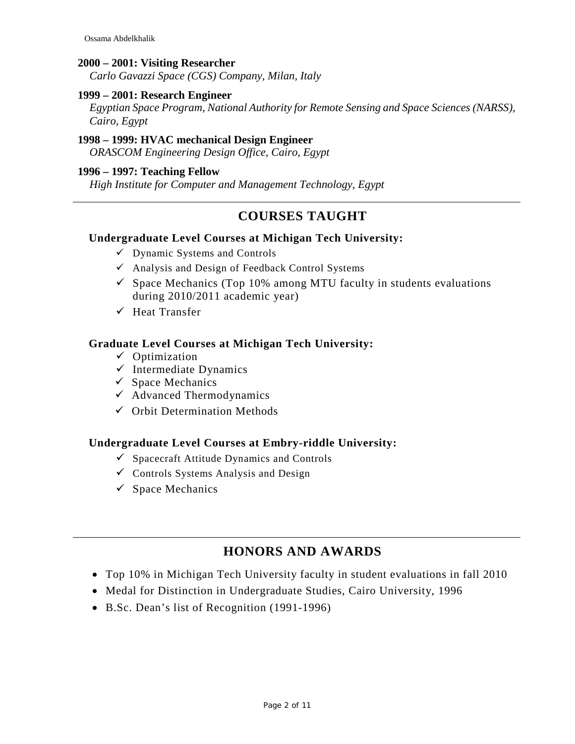#### **2000 – 2001: Visiting Researcher**

*Carlo Gavazzi Space (CGS) Company, Milan, Italy*

#### **1999 – 2001: Research Engineer**

*Egyptian Space Program, National Authority for Remote Sensing and Space Sciences (NARSS), Cairo, Egypt*

#### **1998 – 1999: HVAC mechanical Design Engineer**

*ORASCOM Engineering Design Office, Cairo, Egypt*

#### **1996 – 1997: Teaching Fellow**

*High Institute for Computer and Management Technology, Egypt*

## **COURSES TAUGHT**

#### **Undergraduate Level Courses at Michigan Tech University:**

- $\checkmark$  Dynamic Systems and Controls
- $\checkmark$  Analysis and Design of Feedback Control Systems
- $\checkmark$  Space Mechanics (Top 10% among MTU faculty in students evaluations during 2010/2011 academic year)
- $\checkmark$  Heat Transfer

#### **Graduate Level Courses at Michigan Tech University:**

- $\checkmark$  Optimization
- $\checkmark$  Intermediate Dynamics
- $\checkmark$  Space Mechanics
- $\checkmark$  Advanced Thermodynamics
- $\checkmark$  Orbit Determination Methods

#### **Undergraduate Level Courses at Embry-riddle University:**

- $\checkmark$  Spacecraft Attitude Dynamics and Controls
- $\checkmark$  Controls Systems Analysis and Design
- $\checkmark$  Space Mechanics

## **HONORS AND AWARDS**

- Top 10% in Michigan Tech University faculty in student evaluations in fall 2010
- Medal for Distinction in Undergraduate Studies, Cairo University, 1996
- B.Sc. Dean's list of Recognition (1991-1996)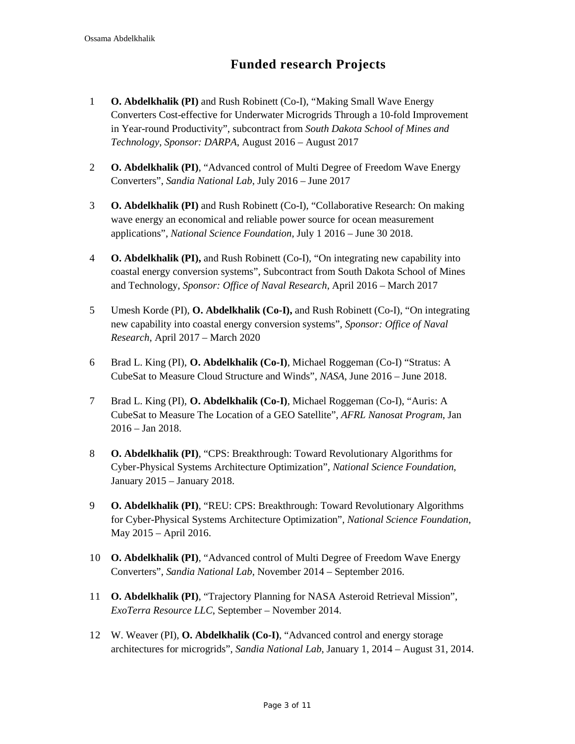## **Funded research Projects**

- 1 **O. Abdelkhalik (PI)** and Rush Robinett (Co-I), "Making Small Wave Energy Converters Cost-effective for Underwater Microgrids Through a 10-fold Improvement in Year-round Productivity", subcontract from *South Dakota School of Mines and Technology, Sponsor: DARPA*, August 2016 – August 2017
- 2 **O. Abdelkhalik (PI)**, "Advanced control of Multi Degree of Freedom Wave Energy Converters", *Sandia National Lab*, July 2016 – June 2017
- 3 **O. Abdelkhalik (PI)** and Rush Robinett (Co-I), "Collaborative Research: On making wave energy an economical and reliable power source for ocean measurement applications", *National Science Foundation*, July 1 2016 – June 30 2018.
- 4 **O. Abdelkhalik (PI),** and Rush Robinett (Co-I), "On integrating new capability into coastal energy conversion systems", Subcontract from South Dakota School of Mines and Technology, *Sponsor: Office of Naval Research*, April 2016 – March 2017
- 5 Umesh Korde (PI), **O. Abdelkhalik (Co-I),** and Rush Robinett (Co-I), "On integrating new capability into coastal energy conversion systems", *Sponsor: Office of Naval Research*, April 2017 – March 2020
- 6 Brad L. King (PI), **O. Abdelkhalik (Co-I)**, Michael Roggeman (Co-I) "Stratus: A CubeSat to Measure Cloud Structure and Winds", *NASA*, June 2016 – June 2018.
- 7 Brad L. King (PI), **O. Abdelkhalik (Co-I)**, Michael Roggeman (Co-I), "Auris: A CubeSat to Measure The Location of a GEO Satellite", *AFRL Nanosat Program*, Jan 2016 – Jan 2018.
- 8 **O. Abdelkhalik (PI)**, "CPS: Breakthrough: Toward Revolutionary Algorithms for Cyber-Physical Systems Architecture Optimization", *National Science Foundation*, January 2015 – January 2018.
- 9 **O. Abdelkhalik (PI)**, "REU: CPS: Breakthrough: Toward Revolutionary Algorithms for Cyber-Physical Systems Architecture Optimization", *National Science Foundation*, May 2015 – April 2016.
- 10 **O. Abdelkhalik (PI)**, "Advanced control of Multi Degree of Freedom Wave Energy Converters", *Sandia National Lab*, November 2014 – September 2016.
- 11 **O. Abdelkhalik (PI)**, "Trajectory Planning for NASA Asteroid Retrieval Mission", *ExoTerra Resource LLC*, September – November 2014.
- 12 W. Weaver (PI), **O. Abdelkhalik (Co-I)**, "Advanced control and energy storage architectures for microgrids", *Sandia National Lab*, January 1, 2014 – August 31, 2014.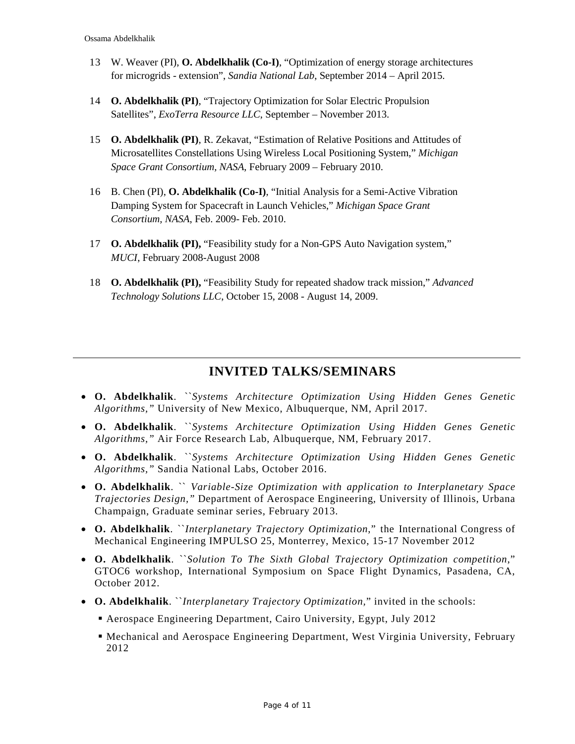- 13 W. Weaver (PI), **O. Abdelkhalik (Co-I)**, "Optimization of energy storage architectures for microgrids - extension", *Sandia National Lab*, September 2014 – April 2015.
- 14 **O. Abdelkhalik (PI)**, "Trajectory Optimization for Solar Electric Propulsion Satellites", *ExoTerra Resource LLC*, September – November 2013.
- 15 **O. Abdelkhalik (PI)**, R. Zekavat, "Estimation of Relative Positions and Attitudes of Microsatellites Constellations Using Wireless Local Positioning System," *Michigan Space Grant Consortium, NASA*, February 2009 – February 2010.
- 16 B. Chen (PI), **O. Abdelkhalik (Co-I)**, "Initial Analysis for a Semi-Active Vibration Damping System for Spacecraft in Launch Vehicles," *Michigan Space Grant Consortium, NASA*, Feb. 2009- Feb. 2010.
- 17 **O. Abdelkhalik (PI),** "Feasibility study for a Non-GPS Auto Navigation system," *MUCI*, February 2008-August 2008
- 18 **O. Abdelkhalik (PI),** "Feasibility Study for repeated shadow track mission," *Advanced Technology Solutions LLC*, October 15, 2008 - August 14, 2009.

## **INVITED TALKS/SEMINARS**

- **O. Abdelkhalik**. ``*Systems Architecture Optimization Using Hidden Genes Genetic Algorithms,"* University of New Mexico, Albuquerque, NM, April 2017.
- **O. Abdelkhalik**. ``*Systems Architecture Optimization Using Hidden Genes Genetic Algorithms,"* Air Force Research Lab, Albuquerque, NM, February 2017.
- **O. Abdelkhalik**. ``*Systems Architecture Optimization Using Hidden Genes Genetic Algorithms,"* Sandia National Labs, October 2016.
- **O. Abdelkhalik**. `` *Variable-Size Optimization with application to Interplanetary Space Trajectories Design,"* Department of Aerospace Engineering, University of Illinois, Urbana Champaign, Graduate seminar series, February 2013.
- **O. Abdelkhalik**. ``*Interplanetary Trajectory Optimization*," the International Congress of Mechanical Engineering IMPULSO 25, Monterrey, Mexico, 15-17 November 2012
- **O. Abdelkhalik**. ``*Solution To The Sixth Global Trajectory Optimization competition*," GTOC6 workshop, International Symposium on Space Flight Dynamics, Pasadena, CA, October 2012.
- **O. Abdelkhalik**. ``*Interplanetary Trajectory Optimization,*" invited in the schools:
	- Aerospace Engineering Department, Cairo University, Egypt, July 2012
	- Mechanical and Aerospace Engineering Department, West Virginia University, February 2012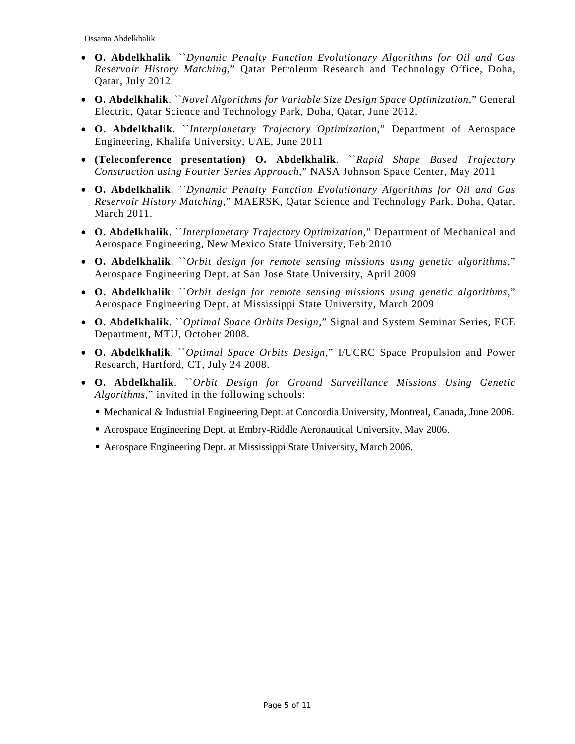- **O. Abdelkhalik**. ``*Dynamic Penalty Function Evolutionary Algorithms for Oil and Gas Reservoir History Matching*," Qatar Petroleum Research and Technology Office, Doha, Qatar, July 2012.
- **O. Abdelkhalik**. ``*Novel Algorithms for Variable Size Design Space Optimization*," General Electric, Qatar Science and Technology Park, Doha, Qatar, June 2012.
- **O. Abdelkhalik**. ``*Interplanetary Trajectory Optimization*," Department of Aerospace Engineering, Khalifa University, UAE, June 2011
- **(Teleconference presentation) O. Abdelkhalik**. ``*Rapid Shape Based Trajectory Construction using Fourier Series Approach*," NASA Johnson Space Center, May 2011
- **O. Abdelkhalik**. ``*Dynamic Penalty Function Evolutionary Algorithms for Oil and Gas Reservoir History Matching*," MAERSK, Qatar Science and Technology Park, Doha, Qatar, March 2011.
- **O. Abdelkhalik**. ``*Interplanetary Trajectory Optimization*," Department of Mechanical and Aerospace Engineering, New Mexico State University, Feb 2010
- **O. Abdelkhalik**. ``*Orbit design for remote sensing missions using genetic algorithms*," Aerospace Engineering Dept. at San Jose State University, April 2009
- **O. Abdelkhalik**. ``*Orbit design for remote sensing missions using genetic algorithms*," Aerospace Engineering Dept. at Mississippi State University, March 2009
- **O. Abdelkhalik**. ``*Optimal Space Orbits Design*," Signal and System Seminar Series, ECE Department, MTU, October 2008.
- **O. Abdelkhalik**. ``*Optimal Space Orbits Design*," I/UCRC Space Propulsion and Power Research, Hartford, CT, July 24 2008.
- **O. Abdelkhalik**. ``*Orbit Design for Ground Surveillance Missions Using Genetic Algorithms*," invited in the following schools:
	- Mechanical & Industrial Engineering Dept. at Concordia University, Montreal, Canada, June 2006.
	- Aerospace Engineering Dept. at Embry-Riddle Aeronautical University, May 2006.
	- Aerospace Engineering Dept. at Mississippi State University, March 2006.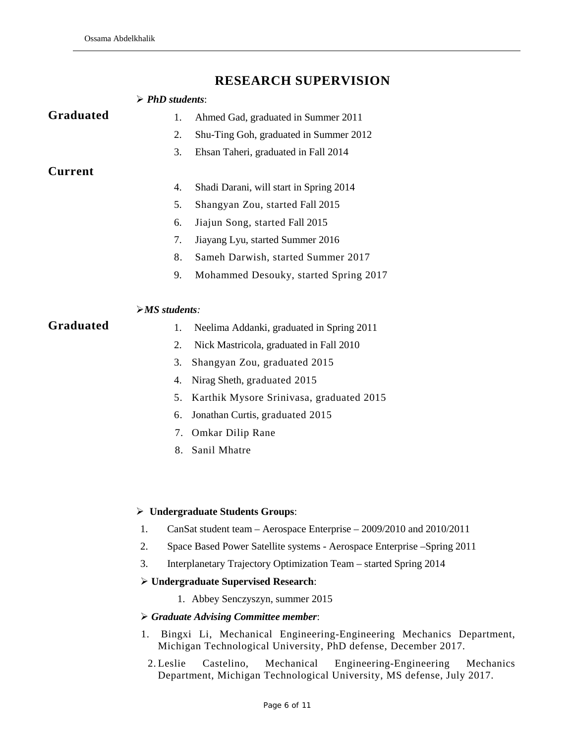## **RESEARCH SUPERVISION**

|                | $\triangleright$ PhD students:                                                 |
|----------------|--------------------------------------------------------------------------------|
| Graduated      | Ahmed Gad, graduated in Summer 2011<br>1.                                      |
|                | 2.<br>Shu-Ting Goh, graduated in Summer 2012                                   |
|                | 3.<br>Ehsan Taheri, graduated in Fall 2014                                     |
| <b>Current</b> |                                                                                |
|                | 4.<br>Shadi Darani, will start in Spring 2014                                  |
|                | 5.<br>Shangyan Zou, started Fall 2015                                          |
|                | Jiajun Song, started Fall 2015<br>6.                                           |
|                | 7.<br>Jiayang Lyu, started Summer 2016                                         |
|                | 8.<br>Sameh Darwish, started Summer 2017                                       |
|                | 9.<br>Mohammed Desouky, started Spring 2017                                    |
|                | $> MS$ students:                                                               |
| Graduated      | Neelima Addanki, graduated in Spring 2011<br>1.                                |
|                | 2.<br>Nick Mastricola, graduated in Fall 2010                                  |
|                | 3.<br>Shangyan Zou, graduated 2015                                             |
|                | 4.<br>Nirag Sheth, graduated 2015                                              |
|                | 5.<br>Karthik Mysore Srinivasa, graduated 2015                                 |
|                | Jonathan Curtis, graduated 2015<br>6.                                          |
|                | Omkar Dilip Rane<br>7.                                                         |
|                | Sanil Mhatre<br>8.                                                             |
|                |                                                                                |
|                | > Undergraduate Students Groups:                                               |
|                | CanSat student team – Aerospace Enterprise – 2009/2010 and 2010/2011<br>1.     |
|                | 2.<br>Space Based Power Satellite systems - Aerospace Enterprise - Spring 2011 |
|                | 3.<br>Interplanetary Trajectory Optimization Team – started Spring 2014        |
|                | $\triangleright$ Undergraduate Supervised Research:                            |
|                | 1. Abbey Senczyszyn, summer 2015                                               |
|                | $\triangleright$ Graduate Advising Committee member:                           |

- 1. Bingxi Li, Mechanical Engineering-Engineering Mechanics Department, Michigan Technological University, PhD defense, December 2017.
- 2. Leslie Castelino, Mechanical Engineering-Engineering Mechanics Department, Michigan Technological University, MS defense, July 2017.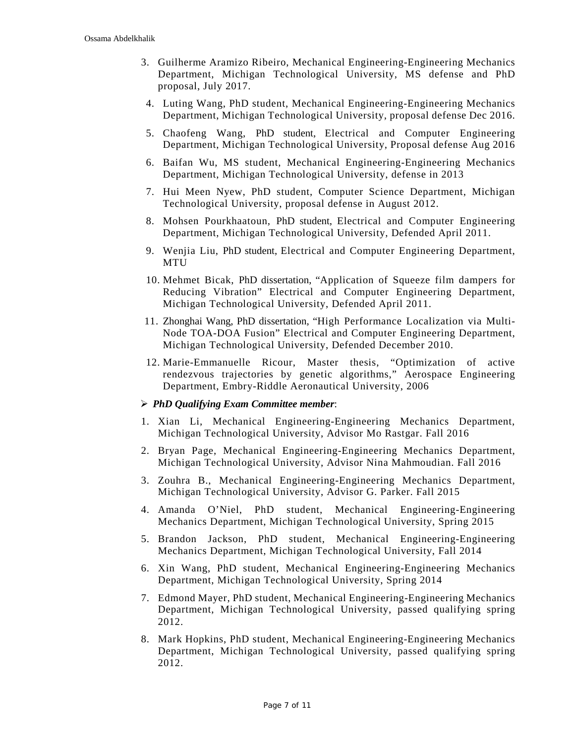- 3. Guilherme Aramizo Ribeiro, Mechanical Engineering-Engineering Mechanics Department, Michigan Technological University, MS defense and PhD proposal, July 2017.
- 4. Luting Wang, PhD student, Mechanical Engineering-Engineering Mechanics Department, Michigan Technological University, proposal defense Dec 2016.
- 5. Chaofeng Wang, PhD student, Electrical and Computer Engineering Department, Michigan Technological University, Proposal defense Aug 2016
- 6. Baifan Wu, MS student, Mechanical Engineering-Engineering Mechanics Department, Michigan Technological University, defense in 2013
- 7. Hui Meen Nyew, PhD student, Computer Science Department, Michigan Technological University, proposal defense in August 2012.
- 8. Mohsen Pourkhaatoun, PhD student, Electrical and Computer Engineering Department, Michigan Technological University, Defended April 2011.
- 9. Wenjia Liu, PhD student, Electrical and Computer Engineering Department, MTU
- 10. Mehmet Bicak, PhD dissertation, "Application of Squeeze film dampers for Reducing Vibration" Electrical and Computer Engineering Department, Michigan Technological University, Defended April 2011.
- 11. Zhonghai Wang, PhD dissertation, "High Performance Localization via Multi-Node TOA-DOA Fusion" Electrical and Computer Engineering Department, Michigan Technological University, Defended December 2010.
- 12. Marie-Emmanuelle Ricour, Master thesis, "Optimization of active rendezvous trajectories by genetic algorithms," Aerospace Engineering Department, Embry-Riddle Aeronautical University, 2006

#### *PhD Qualifying Exam Committee member*:

- 1. Xian Li, Mechanical Engineering-Engineering Mechanics Department, Michigan Technological University, Advisor Mo Rastgar. Fall 2016
- 2. Bryan Page, Mechanical Engineering-Engineering Mechanics Department, Michigan Technological University, Advisor Nina Mahmoudian. Fall 2016
- 3. Zouhra B., Mechanical Engineering-Engineering Mechanics Department, Michigan Technological University, Advisor G. Parker. Fall 2015
- 4. Amanda O'Niel, PhD student, Mechanical Engineering-Engineering Mechanics Department, Michigan Technological University, Spring 2015
- 5. Brandon Jackson, PhD student, Mechanical Engineering-Engineering Mechanics Department, Michigan Technological University, Fall 2014
- 6. Xin Wang, PhD student, Mechanical Engineering-Engineering Mechanics Department, Michigan Technological University, Spring 2014
- 7. Edmond Mayer, PhD student, Mechanical Engineering-Engineering Mechanics Department, Michigan Technological University, passed qualifying spring 2012.
- 8. Mark Hopkins, PhD student, Mechanical Engineering-Engineering Mechanics Department, Michigan Technological University, passed qualifying spring 2012.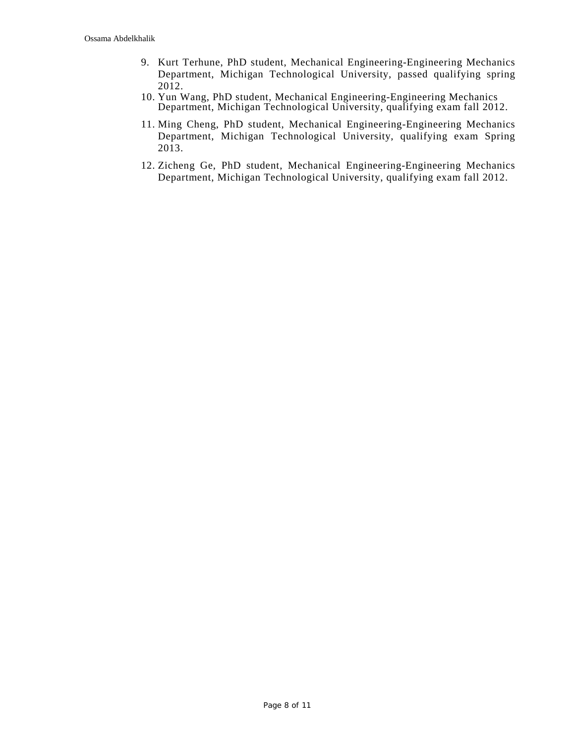- 9. Kurt Terhune, PhD student, Mechanical Engineering-Engineering Mechanics Department, Michigan Technological University, passed qualifying spring 2012.
- 10. Yun Wang, PhD student, Mechanical Engineering-Engineering Mechanics Department, Michigan Technological University, qualifying exam fall 2012.
- 11. Ming Cheng, PhD student, Mechanical Engineering-Engineering Mechanics Department, Michigan Technological University, qualifying exam Spring 2013.
- 12. Zicheng Ge, PhD student, Mechanical Engineering-Engineering Mechanics Department, Michigan Technological University, qualifying exam fall 2012.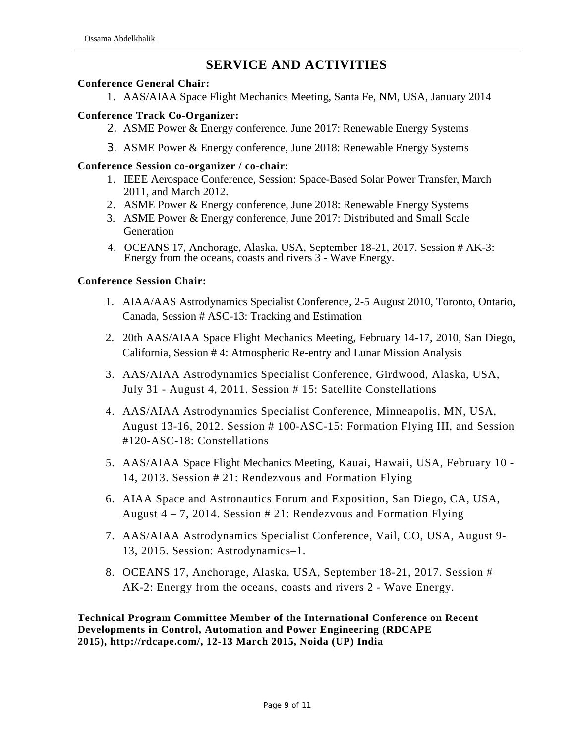## **SERVICE AND ACTIVITIES**

#### **Conference General Chair:**

1. AAS/AIAA Space Flight Mechanics Meeting, Santa Fe, NM, USA, January 2014

#### **Conference Track Co-Organizer:**

- 2. ASME Power & Energy conference, June 2017: Renewable Energy Systems
- 3. ASME Power & Energy conference, June 2018: Renewable Energy Systems

#### **Conference Session co-organizer / co-chair:**

- 1. IEEE Aerospace Conference, Session: Space-Based Solar Power Transfer, March 2011, and March 2012.
- 2. ASME Power & Energy conference, June 2018: Renewable Energy Systems
- 3. ASME Power & Energy conference, June 2017: Distributed and Small Scale Generation
- 4. OCEANS 17, Anchorage, Alaska, USA, September 18-21, 2017. Session # AK-3: Energy from the oceans, coasts and rivers 3 - Wave Energy.

#### **Conference Session Chair:**

- 1. AIAA/AAS Astrodynamics Specialist Conference, 2-5 August 2010, Toronto, Ontario, Canada, Session # ASC-13: Tracking and Estimation
- 2. 20th AAS/AIAA Space Flight Mechanics Meeting, February 14-17, 2010, San Diego, California, Session # 4: Atmospheric Re-entry and Lunar Mission Analysis
- 3. AAS/AIAA Astrodynamics Specialist Conference, Girdwood, Alaska, USA, July 31 - August 4, 2011. Session # 15: Satellite Constellations
- 4. AAS/AIAA Astrodynamics Specialist Conference, Minneapolis, MN, USA, August 13-16, 2012. Session # 100-ASC-15: Formation Flying III, and Session #120-ASC-18: Constellations
- 5. AAS/AIAA Space Flight Mechanics Meeting, Kauai, Hawaii, USA, February 10 14, 2013. Session # 21: Rendezvous and Formation Flying
- 6. AIAA Space and Astronautics Forum and Exposition, San Diego, CA, USA, August 4 – 7, 2014. Session # 21: Rendezvous and Formation Flying
- 7. AAS/AIAA Astrodynamics Specialist Conference, Vail, CO, USA, August 9- 13, 2015. Session: Astrodynamics–1.
- 8. OCEANS 17, Anchorage, Alaska, USA, September 18-21, 2017. Session # AK-2: Energy from the oceans, coasts and rivers 2 - Wave Energy.

**Technical Program Committee Member of the International Conference on Recent Developments in Control, Automation and Power Engineering (RDCAPE 2015), [http://rdcape.com/,](http://rdcape.com/) 12-13 March 2015, Noida (UP) India**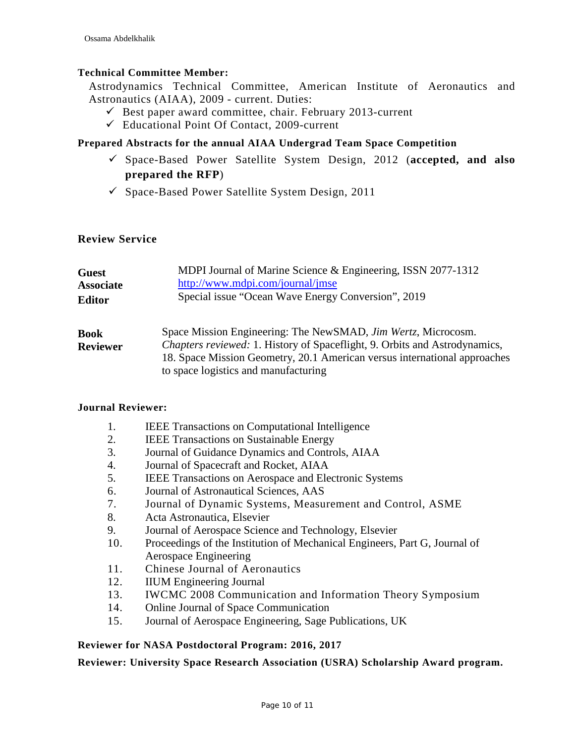#### **Technical Committee Member:**

Astrodynamics Technical Committee, American Institute of Aeronautics and Astronautics (AIAA), 2009 - current. Duties:

- $\checkmark$  Best paper award committee, chair. February 2013-current
- $\checkmark$  Educational Point Of Contact, 2009-current

#### **Prepared Abstracts for the annual AIAA Undergrad Team Space Competition**

- Space-Based Power Satellite System Design, 2012 (**accepted, and also prepared the RFP**)
- $\checkmark$  Space-Based Power Satellite System Design, 2011

#### **Review Service**

| <b>Guest</b>                   | MDPI Journal of Marine Science & Engineering, ISSN 2077-1312                                                                                                                                                                                                            |
|--------------------------------|-------------------------------------------------------------------------------------------------------------------------------------------------------------------------------------------------------------------------------------------------------------------------|
| <b>Associate</b>               | http://www.mdpi.com/journal/jmse                                                                                                                                                                                                                                        |
| <b>Editor</b>                  | Special issue "Ocean Wave Energy Conversion", 2019                                                                                                                                                                                                                      |
| <b>Book</b><br><b>Reviewer</b> | Space Mission Engineering: The NewSMAD, Jim Wertz, Microcosm.<br><i>Chapters reviewed:</i> 1. History of Spaceflight, 9. Orbits and Astrodynamics,<br>18. Space Mission Geometry, 20.1 American versus international approaches<br>to space logistics and manufacturing |

#### **Journal Reviewer:**

- 1. IEEE Transactions on Computational Intelligence
- 2. IEEE Transactions on Sustainable Energy
- 3. Journal of Guidance Dynamics and Controls, AIAA
- 4. Journal of Spacecraft and Rocket, AIAA
- 5. IEEE Transactions on Aerospace and Electronic Systems
- 6. Journal of Astronautical Sciences, AAS
- 7. Journal of Dynamic Systems, Measurement and Control, ASME
- 8. Acta Astronautica, Elsevier
- 9. Journal of Aerospace Science and Technology, Elsevier
- 10. Proceedings of the Institution of Mechanical Engineers, Part G, Journal of Aerospace Engineering
- 11. Chinese Journal of Aeronautics
- 12. IIUM Engineering Journal
- 13. IWCMC 2008 Communication and Information Theory Symposium
- 14. Online Journal of Space Communication
- 15. Journal of Aerospace Engineering, Sage Publications, UK

#### **Reviewer for NASA Postdoctoral Program: 2016, 2017**

**Reviewer: University Space Research Association (USRA) Scholarship Award program.**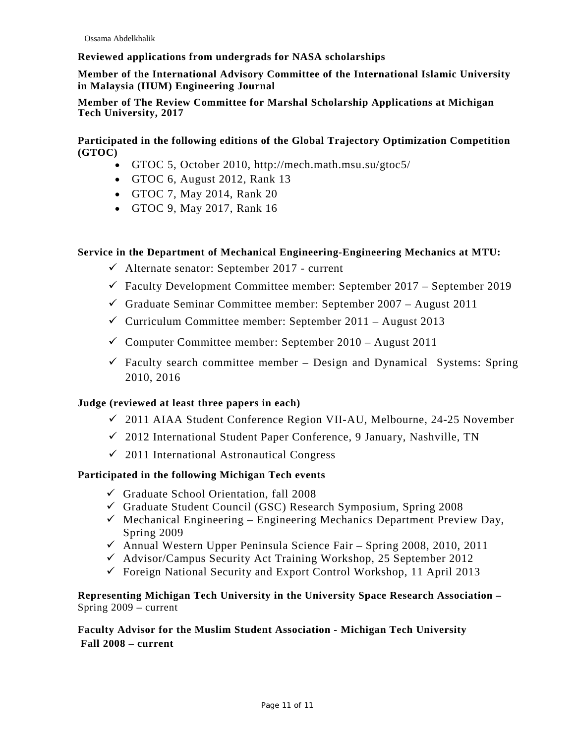#### **Reviewed applications from undergrads for NASA scholarships**

**Member of the International Advisory Committee of the International Islamic University in Malaysia (IIUM) Engineering Journal**

#### **Member of The Review Committee for Marshal Scholarship Applications at Michigan Tech University, 2017**

**Participated in the following editions of the Global Trajectory Optimization Competition (GTOC)**

- GTOC 5, October 2010,<http://mech.math.msu.su/gtoc5/>
- GTOC 6, August 2012, Rank 13
- GTOC 7, May 2014, Rank 20
- GTOC 9, May 2017, Rank 16

#### **Service in the Department of Mechanical Engineering-Engineering Mechanics at MTU:**

- $\checkmark$  Alternate senator: September 2017 current
- $\checkmark$  Faculty Development Committee member: September 2017 September 2019
- $\checkmark$  Graduate Seminar Committee member: September 2007 August 2011
- $\checkmark$  Curriculum Committee member: September 2011 August 2013
- $\checkmark$  Computer Committee member: September 2010 August 2011
- $\checkmark$  Faculty search committee member Design and Dynamical Systems: Spring 2010, 2016

#### **Judge (reviewed at least three papers in each)**

- 2011 AIAA Student Conference Region VII-AU, Melbourne, 24-25 November
- $\checkmark$  2012 International Student Paper Conference, 9 January, Nashville, TN
- $\sim$  2011 International Astronautical Congress

#### **Participated in the following Michigan Tech events**

- $\checkmark$  Graduate School Orientation, fall 2008
- $\checkmark$  Graduate Student Council (GSC) Research Symposium, Spring 2008
- $\checkmark$  Mechanical Engineering Engineering Mechanics Department Preview Day, Spring 2009
- $\checkmark$  Annual Western Upper Peninsula Science Fair Spring 2008, 2010, 2011
- $\checkmark$  Advisor/Campus Security Act Training Workshop, 25 September 2012
- $\checkmark$  Foreign National Security and Export Control Workshop, 11 April 2013

#### **Representing Michigan Tech University in the University Space Research Association –** Spring 2009 – current

#### **Faculty Advisor for the Muslim Student Association - Michigan Tech University Fall 2008 – current**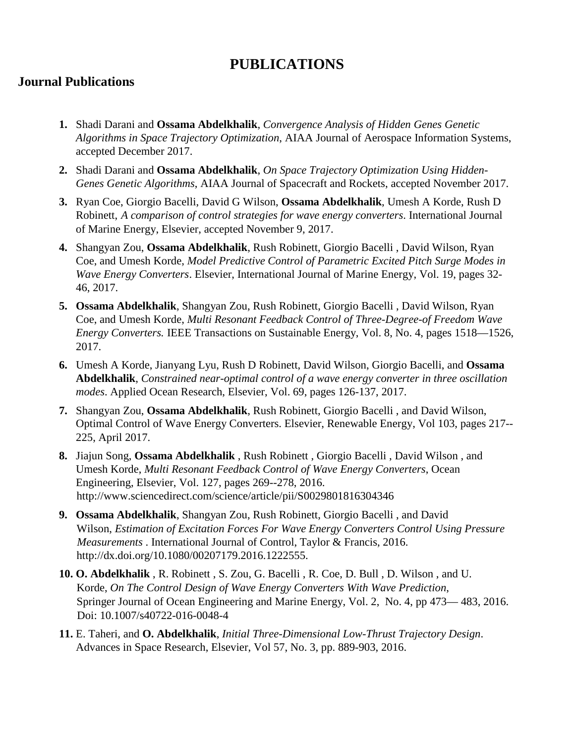# **PUBLICATIONS**

## **Journal Publications**

- **1.** Shadi Darani and **Ossama Abdelkhalik**, *Convergence Analysis of Hidden Genes Genetic Algorithms in Space Trajectory Optimization*, AIAA Journal of Aerospace Information Systems, accepted December 2017.
- **2.** Shadi Darani and **Ossama Abdelkhalik**, *On Space Trajectory Optimization Using Hidden-Genes Genetic Algorithms*, AIAA Journal of Spacecraft and Rockets, accepted November 2017.
- **3.** Ryan Coe, Giorgio Bacelli, David G Wilson, **Ossama Abdelkhalik**, Umesh A Korde, Rush D Robinett, *A comparison of control strategies for wave energy converters*. International Journal of Marine Energy, Elsevier, accepted November 9, 2017.
- **4.** Shangyan Zou, **Ossama Abdelkhalik**, Rush Robinett, Giorgio Bacelli , David Wilson, Ryan Coe, and Umesh Korde, *Model Predictive Control of Parametric Excited Pitch Surge Modes in Wave Energy Converters*. Elsevier, International Journal of Marine Energy, Vol. 19, pages 32- 46, 2017.
- **5. Ossama Abdelkhalik**, Shangyan Zou, Rush Robinett, Giorgio Bacelli , David Wilson, Ryan Coe, and Umesh Korde, *Multi Resonant Feedback Control of Three-Degree-of Freedom Wave Energy Converters.* IEEE Transactions on Sustainable Energy, Vol. 8, No. 4, pages 1518—1526, 2017.
- **6.** Umesh A Korde, Jianyang Lyu, Rush D Robinett, David Wilson, Giorgio Bacelli, and **Ossama Abdelkhalik**, *Constrained near-optimal control of a wave energy converter in three oscillation modes*. Applied Ocean Research, Elsevier, Vol. 69, pages 126-137, 2017.
- **7.** Shangyan Zou, **Ossama Abdelkhalik**, Rush Robinett, Giorgio Bacelli , and David Wilson, Optimal Control of Wave Energy Converters. Elsevier, Renewable Energy, Vol 103, pages 217-- 225, April 2017.
- **8.** Jiajun Song, **Ossama Abdelkhalik** , Rush Robinett , Giorgio Bacelli , David Wilson , and Umesh Korde, *Multi Resonant Feedback Control of Wave Energy Converters*, Ocean Engineering, Elsevier, Vol. 127, pages 269--278, 2016. http://www.sciencedirect.com/science/article/pii/S0029801816304346
- **9. Ossama Abdelkhalik**, Shangyan Zou, Rush Robinett, Giorgio Bacelli , and David Wilson, *Estimation of Excitation Forces For Wave Energy Converters Control Using Pressure Measurements* . International Journal of Control, Taylor & Francis, 2016. http://dx.doi.org/10.1080/00207179.2016.1222555.
- **10. O. Abdelkhalik** , R. Robinett , S. Zou, G. Bacelli , R. Coe, D. Bull , D. Wilson , and U. Korde, *On The Control Design of Wave Energy Converters With Wave Prediction*, Springer Journal of Ocean Engineering and Marine Energy, Vol. 2, No. 4, pp 473— 483, 2016. Doi: 10.1007/s40722-016-0048-4
- **11.** E. Taheri, and **O. Abdelkhalik**, *Initial Three-Dimensional Low-Thrust Trajectory Design*. Advances in Space Research, Elsevier, Vol 57, No. 3, pp. 889-903, 2016.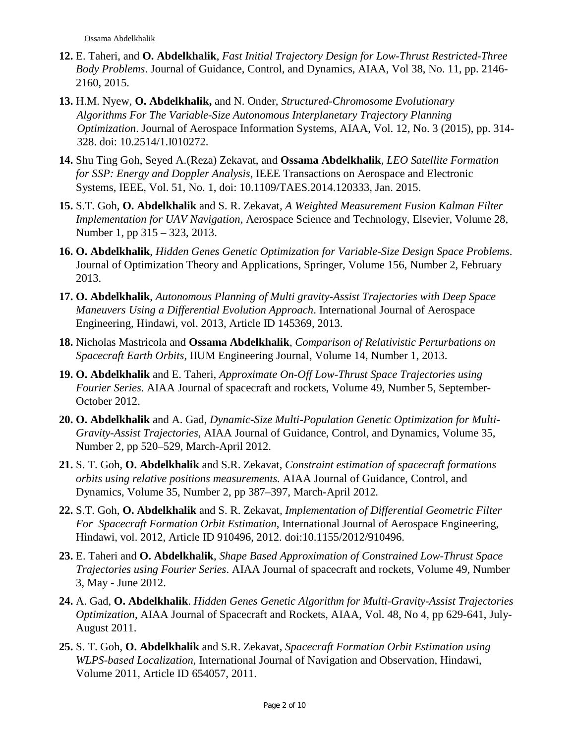- **12.** E. Taheri, and **O. Abdelkhalik**, *Fast Initial Trajectory Design for Low-Thrust Restricted-Three Body Problems*. Journal of Guidance, Control, and Dynamics, AIAA, Vol 38, No. 11, pp. 2146- 2160, 2015.
- **13.** H.M. Nyew, **O. Abdelkhalik,** and N. Onder*, Structured-Chromosome Evolutionary Algorithms For The Variable-Size Autonomous Interplanetary Trajectory Planning Optimization*. Journal of Aerospace Information Systems, AIAA, Vol. 12, No. 3 (2015), pp. 314- 328. doi: 10.2514/1.I010272.
- **14.** Shu Ting Goh, Seyed A.(Reza) Zekavat, and **Ossama Abdelkhalik***, LEO Satellite Formation for SSP: Energy and Doppler Analysis*, IEEE Transactions on Aerospace and Electronic Systems, IEEE, Vol. 51, No. 1, doi: 10.1109/TAES.2014.120333, Jan. 2015.
- **15.** S.T. Goh, **O. Abdelkhalik** and S. R. Zekavat*, A Weighted Measurement Fusion Kalman Filter Implementation for UAV Navigation*, Aerospace Science and Technology, Elsevier, Volume 28, Number 1, pp 315 – 323, 2013.
- **16. O. Abdelkhalik**, *Hidden Genes Genetic Optimization for Variable-Size Design Space Problems*. Journal of Optimization Theory and Applications, Springer, Volume 156, Number 2, February 2013.
- **17. O. Abdelkhalik**, *Autonomous Planning of Multi gravity-Assist Trajectories with Deep Space Maneuvers Using a Differential Evolution Approach*. International Journal of Aerospace Engineering, Hindawi, vol. 2013, Article ID 145369, 2013.
- **18.** Nicholas Mastricola and **Ossama Abdelkhalik**, *Comparison of Relativistic Perturbations on Spacecraft Earth Orbits*, IIUM Engineering Journal, Volume 14, Number 1, 2013.
- **19. O. Abdelkhalik** and E. Taheri, *Approximate On-Off Low-Thrust Space Trajectories using Fourier Series*. AIAA Journal of spacecraft and rockets, Volume 49, Number 5, September-October 2012.
- **20. O. Abdelkhalik** and A. Gad, *Dynamic-Size Multi-Population Genetic Optimization for Multi-Gravity-Assist Trajectories*, AIAA Journal of Guidance, Control, and Dynamics, Volume 35, Number 2, pp 520–529, March-April 2012.
- **21.** S. T. Goh, **O. Abdelkhalik** and S.R. Zekavat, *Constraint estimation of spacecraft formations orbits using relative positions measurements.* AIAA Journal of Guidance, Control, and Dynamics, Volume 35, Number 2, pp 387–397, March-April 2012*.*
- **22.** S.T. Goh, **O. Abdelkhalik** and S. R. Zekavat*, Implementation of Differential Geometric Filter For Spacecraft Formation Orbit Estimation*, International Journal of Aerospace Engineering, Hindawi, vol. 2012, Article ID 910496, 2012. doi:10.1155/2012/910496.
- **23.** E. Taheri and **O. Abdelkhalik**, *Shape Based Approximation of Constrained Low-Thrust Space Trajectories using Fourier Series*. AIAA Journal of spacecraft and rockets, Volume 49, Number 3, May - June 2012.
- **24.** A. Gad, **O. Abdelkhalik**. *Hidden Genes Genetic Algorithm for Multi-Gravity-Assist Trajectories Optimization*, AIAA Journal of Spacecraft and Rockets, AIAA, Vol. 48, No 4, pp 629-641, July-August 2011.
- **25.** S. T. Goh, **O. Abdelkhalik** and S.R. Zekavat, *Spacecraft Formation Orbit Estimation using WLPS-based Localization,* International Journal of Navigation and Observation, Hindawi, Volume 2011, Article ID 654057, 2011.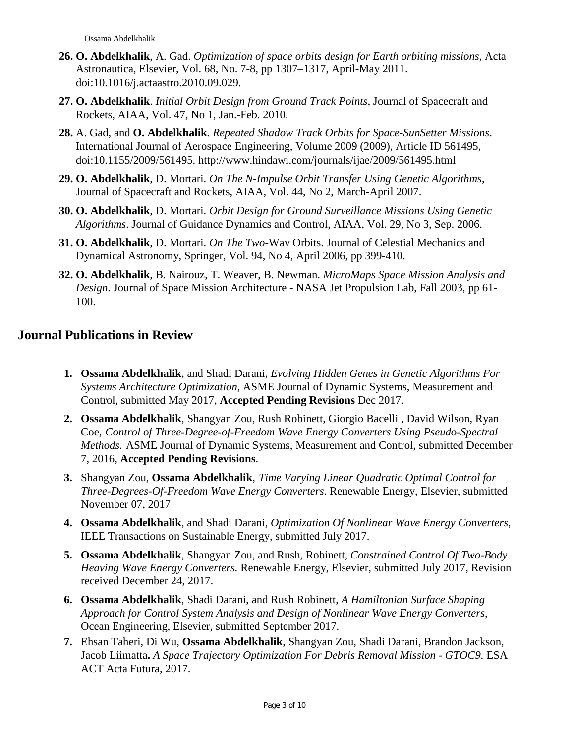- **26. O. Abdelkhalik**, A. Gad. *Optimization of space orbits design for Earth orbiting missions*, Acta Astronautica, Elsevier, Vol. 68, No. 7-8, pp 1307–1317, April-May 2011. doi:10.1016/j.actaastro.2010.09.029.
- **27. O. Abdelkhalik**. *Initial Orbit Design from Ground Track Points*, Journal of Spacecraft and Rockets, AIAA, Vol. 47, No 1, Jan.-Feb. 2010.
- **28.** A. Gad, and **O. Abdelkhalik***. Repeated Shadow Track Orbits for Space-SunSetter Missions*. International Journal of Aerospace Engineering, Volume 2009 (2009), Article ID 561495, doi:10.1155/2009/561495. http://www.hindawi.com/journals/ijae/2009/561495.html
- **29. O. Abdelkhalik**, D. Mortari. *On The N-Impulse Orbit Transfer Using Genetic Algorithms*, Journal of Spacecraft and Rockets, AIAA, Vol. 44, No 2, March-April 2007.
- **30. O. Abdelkhalik**, D. Mortari. *Orbit Design for Ground Surveillance Missions Using Genetic Algorithms*. Journal of Guidance Dynamics and Control, AIAA, Vol. 29, No 3, Sep. 2006.
- **31. O. Abdelkhalik**, D. Mortari. *On The Two-*Way Orbits. Journal of Celestial Mechanics and Dynamical Astronomy, Springer, Vol. 94, No 4, April 2006, pp 399-410.
- **32. O. Abdelkhalik**, B. Nairouz, T. Weaver, B. Newman. *MicroMaps Space Mission Analysis and Design*. Journal of Space Mission Architecture - NASA Jet Propulsion Lab, Fall 2003, pp 61- 100.

## **Journal Publications in Review**

- **1. Ossama Abdelkhalik**, and Shadi Darani, *Evolving Hidden Genes in Genetic Algorithms For Systems Architecture Optimization*, ASME Journal of Dynamic Systems, Measurement and Control, submitted May 2017, **Accepted Pending Revisions** Dec 2017.
- **2. Ossama Abdelkhalik**, Shangyan Zou, Rush Robinett, Giorgio Bacelli , David Wilson, Ryan Coe, *Control of Three-Degree-of-Freedom Wave Energy Converters Using Pseudo-Spectral Methods.* ASME Journal of Dynamic Systems, Measurement and Control, submitted December 7, 2016, **Accepted Pending Revisions**.
- **3.** Shangyan Zou, **Ossama Abdelkhalik**, *Time Varying Linear Quadratic Optimal Control for Three-Degrees-Of-Freedom Wave Energy Converters*. Renewable Energy, Elsevier, submitted November 07, 2017
- **4. Ossama Abdelkhalik**, and Shadi Darani, *Optimization Of Nonlinear Wave Energy Converters*, IEEE Transactions on Sustainable Energy, submitted July 2017.
- **5. Ossama Abdelkhalik**, Shangyan Zou, and Rush, Robinett, *Constrained Control Of Two-Body Heaving Wave Energy Converters.* Renewable Energy, Elsevier, submitted July 2017, Revision received December 24, 2017.
- **6. Ossama Abdelkhalik**, Shadi Darani, and Rush Robinett, *A Hamiltonian Surface Shaping Approach for Control System Analysis and Design of Nonlinear Wave Energy Converters*, Ocean Engineering, Elsevier, submitted September 2017.
- **7.** Ehsan Taheri, Di Wu, **Ossama Abdelkhalik**, Shangyan Zou, Shadi Darani, Brandon Jackson, Jacob Liimatta**.** *A Space Trajectory Optimization For Debris Removal Mission - GTOC9.* ESA ACT Acta Futura, 2017.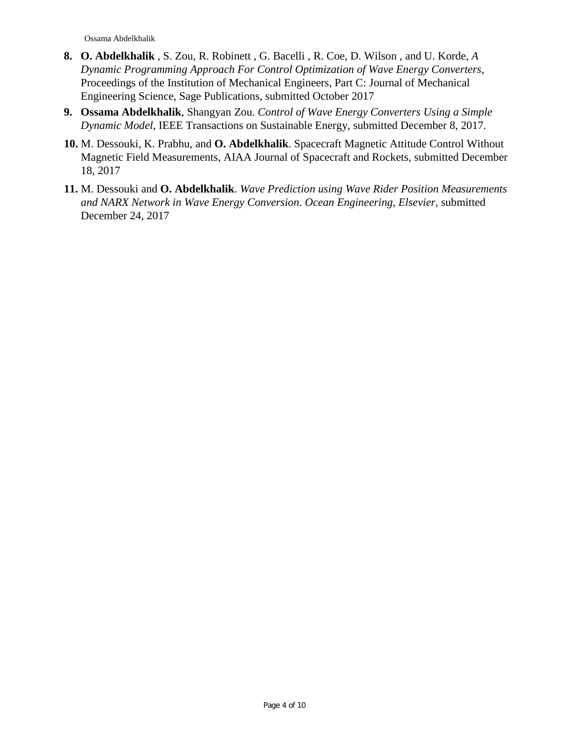- **8. O. Abdelkhalik** , S. Zou, R. Robinett , G. Bacelli , R. Coe, D. Wilson , and U. Korde, *A Dynamic Programming Approach For Control Optimization of Wave Energy Converters,*  Proceedings of the Institution of Mechanical Engineers, Part C: Journal of Mechanical Engineering Science, Sage Publications, submitted October 2017
- **9. Ossama Abdelkhalik**, Shangyan Zou. *Control of Wave Energy Converters Using a Simple Dynamic Model*, IEEE Transactions on Sustainable Energy, submitted December 8, 2017.
- **10.** M. Dessouki, K. Prabhu, and **O. Abdelkhalik**. Spacecraft Magnetic Attitude Control Without Magnetic Field Measurements, AIAA Journal of Spacecraft and Rockets, submitted December 18, 2017
- **11.** M. Dessouki and **O. Abdelkhalik**. *Wave Prediction using Wave Rider Position Measurements and NARX Network in Wave Energy Conversion*. *Ocean Engineering, Elsevier,* submitted December 24, 2017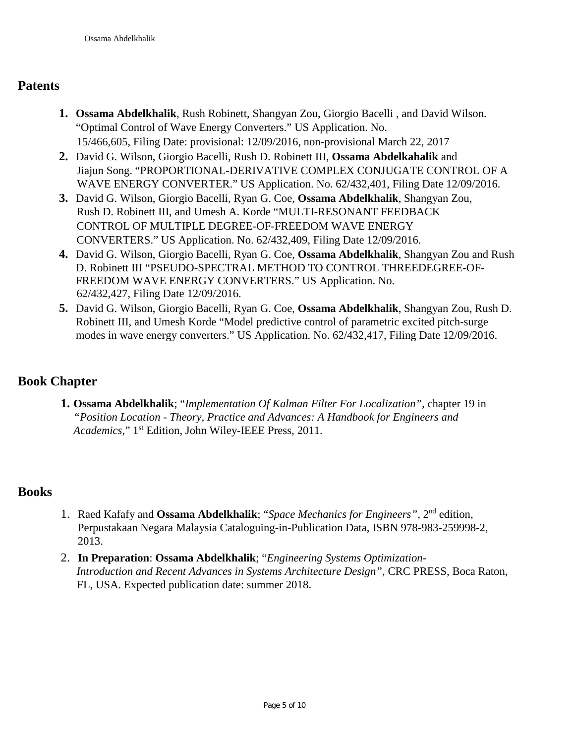### **Patents**

- **1. Ossama Abdelkhalik**, Rush Robinett, Shangyan Zou, Giorgio Bacelli , and David Wilson. "Optimal Control of Wave Energy Converters." US Application. No. 15/466,605, Filing Date: provisional: 12/09/2016, non-provisional March 22, 2017
- **2.** David G. Wilson, Giorgio Bacelli, Rush D. Robinett III, **Ossama Abdelkahalik** and Jiajun Song. "PROPORTIONAL-DERIVATIVE COMPLEX CONJUGATE CONTROL OF A WAVE ENERGY CONVERTER." US Application. No. 62/432,401, Filing Date 12/09/2016.
- **3.** David G. Wilson, Giorgio Bacelli, Ryan G. Coe, **Ossama Abdelkhalik**, Shangyan Zou, Rush D. Robinett III, and Umesh A. Korde "MULTI-RESONANT FEEDBACK CONTROL OF MULTIPLE DEGREE-OF-FREEDOM WAVE ENERGY CONVERTERS." US Application. No. 62/432,409, Filing Date 12/09/2016.
- **4.** David G. Wilson, Giorgio Bacelli, Ryan G. Coe, **Ossama Abdelkhalik**, Shangyan Zou and Rush D. Robinett III "PSEUDO-SPECTRAL METHOD TO CONTROL THREEDEGREE-OF-FREEDOM WAVE ENERGY CONVERTERS." US Application. No. 62/432,427, Filing Date 12/09/2016.
- **5.** David G. Wilson, Giorgio Bacelli, Ryan G. Coe, **Ossama Abdelkhalik**, Shangyan Zou, Rush D. Robinett III, and Umesh Korde "Model predictive control of parametric excited pitch-surge modes in wave energy converters." US Application. No. 62/432,417, Filing Date 12/09/2016.

## **Book Chapter**

**1. Ossama Abdelkhalik**; "*Implementation Of Kalman Filter For Localization",* chapter 19 in *"Position Location - Theory, Practice and Advances: A Handbook for Engineers and Academics*," 1st Edition, John Wiley-IEEE Press, 2011.

### **Books**

- 1. Raed Kafafy and **Ossama Abdelkhalik**; "*Space Mechanics for Engineers",* 2nd edition, Perpustakaan Negara Malaysia Cataloguing-in-Publication Data, ISBN 978-983-259998-2, 2013.
- 2. **In Preparation**: **Ossama Abdelkhalik**; "*Engineering Systems Optimization-Introduction and Recent Advances in Systems Architecture Design",* CRC PRESS, Boca Raton, FL, USA. Expected publication date: summer 2018.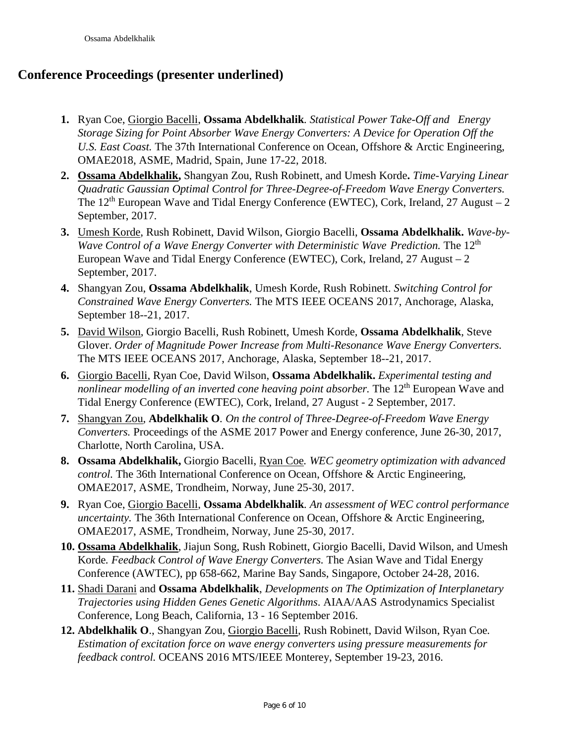## **Conference Proceedings (presenter underlined)**

- **1.** Ryan Coe, Giorgio Bacelli, **Ossama Abdelkhalik***. Statistical Power Take-Off and Energy Storage Sizing for Point Absorber Wave Energy Converters: A Device for Operation Off the U.S. East Coast.* The 37th International Conference on Ocean, Offshore & Arctic Engineering, OMAE2018, ASME, Madrid, Spain, June 17-22, 2018.
- **2. Ossama Abdelkhalik,** Shangyan Zou, Rush Robinett, and Umesh Korde**.** *Time-Varying Linear Quadratic Gaussian Optimal Control for Three-Degree-of-Freedom Wave Energy Converters.* The  $12<sup>th</sup>$  European Wave and Tidal Energy Conference (EWTEC), Cork, Ireland, 27 August – 2 September, 2017.
- **3.** Umesh Korde, Rush Robinett, David Wilson, Giorgio Bacelli, **Ossama Abdelkhalik.** *Wave-by-Wave Control of a Wave Energy Converter with Deterministic Wave Prediction.* The 12<sup>th</sup> European Wave and Tidal Energy Conference (EWTEC), Cork, Ireland, 27 August – 2 September, 2017.
- **4.** Shangyan Zou, **Ossama Abdelkhalik**, Umesh Korde, Rush Robinett. *Switching Control for Constrained Wave Energy Converters.* The MTS IEEE OCEANS 2017, Anchorage, Alaska, September 18--21, 2017.
- **5.** David Wilson, Giorgio Bacelli, Rush Robinett, Umesh Korde, **Ossama Abdelkhalik**, Steve Glover. *Order of Magnitude Power Increase from Multi-Resonance Wave Energy Converters.*  The MTS IEEE OCEANS 2017, Anchorage, Alaska, September 18--21, 2017.
- **6.** Giorgio Bacelli, Ryan Coe, David Wilson, **Ossama Abdelkhalik.** *Experimental testing and nonlinear modelling of an inverted cone heaving point absorber.* The 12<sup>th</sup> European Wave and Tidal Energy Conference (EWTEC), Cork, Ireland, 27 August - 2 September, 2017.
- **7.** Shangyan Zou, **Abdelkhalik O***. On the control of Three-Degree-of-Freedom Wave Energy Converters.* Proceedings of the ASME 2017 Power and Energy conference, June 26-30, 2017, Charlotte, North Carolina, USA.
- **8. Ossama Abdelkhalik,** Giorgio Bacelli, Ryan Coe*. WEC geometry optimization with advanced control.* The 36th International Conference on Ocean, Offshore & Arctic Engineering, OMAE2017, ASME, Trondheim, Norway, June 25-30, 2017.
- **9.** Ryan Coe, Giorgio Bacelli, **Ossama Abdelkhalik***. An assessment of WEC control performance uncertainty*. The 36th International Conference on Ocean, Offshore & Arctic Engineering, OMAE2017, ASME, Trondheim, Norway, June 25-30, 2017.
- **10. Ossama Abdelkhalik**, Jiajun Song, Rush Robinett, Giorgio Bacelli, David Wilson, and Umesh Korde*. Feedback Control of Wave Energy Converters.* The Asian Wave and Tidal Energy Conference (AWTEC), pp 658-662, Marine Bay Sands, Singapore, October 24-28, 2016.
- **11.** Shadi Darani and **Ossama Abdelkhalik**, *Developments on The Optimization of Interplanetary Trajectories using Hidden Genes Genetic Algorithms*. AIAA/AAS Astrodynamics Specialist Conference, Long Beach, California, 13 - 16 September 2016.
- **12. Abdelkhalik O**., Shangyan Zou, Giorgio Bacelli, Rush Robinett, David Wilson, Ryan Coe*. Estimation of excitation force on wave energy converters using pressure measurements for feedback control.* OCEANS 2016 MTS/IEEE Monterey, September 19-23, 2016.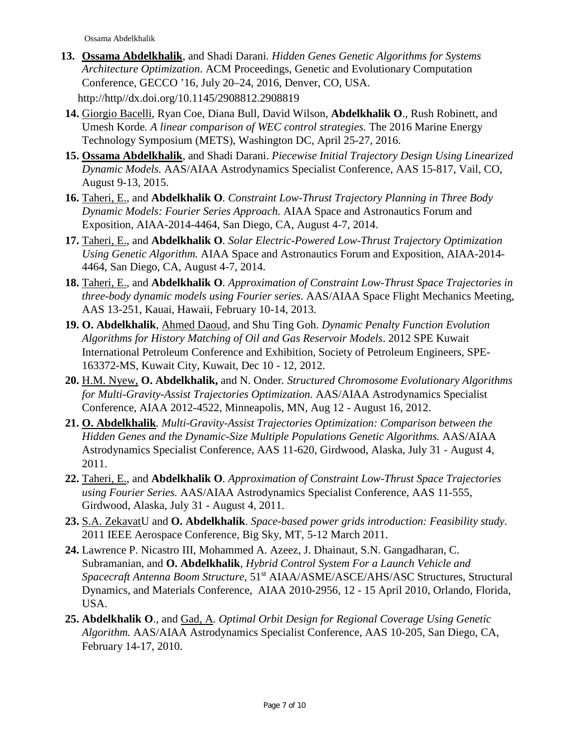- **13. Ossama Abdelkhalik**, and Shadi Darani*. Hidden Genes Genetic Algorithms for Systems Architecture Optimization*. ACM Proceedings, Genetic and Evolutionary Computation Conference, GECCO '16, July 20–24, 2016, Denver, CO, USA. http://http//dx.doi.org/10.1145/2908812.2908819
- **14.** Giorgio Bacelli, Ryan Coe, Diana Bull, David Wilson, **Abdelkhalik O**., Rush Robinett, and Umesh Korde*. A linear comparison of WEC control strategies.* The 2016 Marine Energy Technology Symposium (METS), Washington DC, April 25-27, 2016.
- **15. Ossama Abdelkhalik**, and Shadi Darani. *Piecewise Initial Trajectory Design Using Linearized Dynamic Models.* AAS/AIAA Astrodynamics Specialist Conference, AAS 15-817, Vail, CO, August 9-13, 2015.
- **16.** Taheri, E., and **Abdelkhalik O***. Constraint Low-Thrust Trajectory Planning in Three Body Dynamic Models: Fourier Series Approach.* AIAA Space and Astronautics Forum and Exposition, AIAA-2014-4464, San Diego, CA, August 4-7, 2014.
- **17.** Taheri, E., and **Abdelkhalik O***. Solar Electric-Powered Low-Thrust Trajectory Optimization Using Genetic Algorithm.* AIAA Space and Astronautics Forum and Exposition, AIAA-2014- 4464, San Diego, CA, August 4-7, 2014.
- **18.** Taheri, E., and **Abdelkhalik O***. Approximation of Constraint Low-Thrust Space Trajectories in three-body dynamic models using Fourier series.* AAS/AIAA Space Flight Mechanics Meeting, AAS 13-251, Kauai, Hawaii, February 10-14, 2013.
- **19. O. Abdelkhalik**, Ahmed Daoud, and Shu Ting Goh. *Dynamic Penalty Function Evolution Algorithms for History Matching of Oil and Gas Reservoir Models*. 2012 SPE Kuwait International Petroleum Conference and Exhibition, Society of Petroleum Engineers, SPE-163372-MS, Kuwait City, Kuwait, Dec 10 - 12, 2012.
- **20.** H.M. Nyew, **O. Abdelkhalik,** and N. Onder*. Structured Chromosome Evolutionary Algorithms for Multi-Gravity-Assist Trajectories Optimization.* AAS/AIAA Astrodynamics Specialist Conference, AIAA 2012-4522, Minneapolis, MN, Aug 12 - August 16, 2012.
- **21. O. Abdelkhalik***. Multi-Gravity-Assist Trajectories Optimization: Comparison between the Hidden Genes and the Dynamic-Size Multiple Populations Genetic Algorithms.* AAS/AIAA Astrodynamics Specialist Conference, AAS 11-620, Girdwood, Alaska, July 31 - August 4, 2011.
- **22.** Taheri, E., and **Abdelkhalik O***. Approximation of Constraint Low-Thrust Space Trajectories using Fourier Series.* AAS/AIAA Astrodynamics Specialist Conference, AAS 11-555, Girdwood, Alaska, July 31 - August 4, 2011.
- **23.** S.A. ZekavatU and **O. Abdelkhalik**. *Space-based power grids introduction: Feasibility study*. 2011 IEEE Aerospace Conference, Big Sky, MT, 5-12 March 2011.
- **24.** Lawrence P. Nicastro III, Mohammed A. Azeez, J. Dhainaut, S.N. Gangadharan, C. Subramanian, and **O. Abdelkhalik***, Hybrid Control System For a Launch Vehicle and Spacecraft Antenna Boom Structure*, 51st AIAA/ASME/ASCE/AHS/ASC Structures, Structural Dynamics, and Materials Conference, AIAA 2010-2956, 12 - 15 April 2010, Orlando, Florida, USA.
- **25. Abdelkhalik O**., and Gad, A*. Optimal Orbit Design for Regional Coverage Using Genetic Algorithm.* AAS/AIAA Astrodynamics Specialist Conference, AAS 10-205, San Diego, CA, February 14-17, 2010.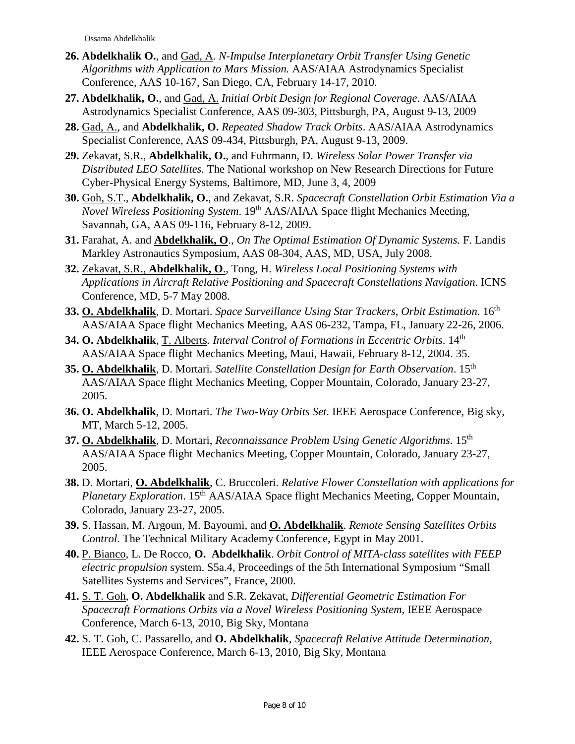- **26. Abdelkhalik O.**, and Gad, A*. N-Impulse Interplanetary Orbit Transfer Using Genetic Algorithms with Application to Mars Mission.* AAS/AIAA Astrodynamics Specialist Conference, AAS 10-167, San Diego, CA, February 14-17, 2010.
- **27. Abdelkhalik, O.**, and Gad, A. *Initial Orbit Design for Regional Coverage*. AAS/AIAA Astrodynamics Specialist Conference, AAS 09-303, Pittsburgh, PA, August 9-13, 2009
- **28.** Gad, A., and **Abdelkhalik, O.** *Repeated Shadow Track Orbits*. AAS/AIAA Astrodynamics Specialist Conference, AAS 09-434, Pittsburgh, PA, August 9-13, 2009.
- **29.** Zekavat, S.R., **Abdelkhalik, O.**, and Fuhrmann, D. *Wireless Solar Power Transfer via Distributed LEO Satellites.* The National workshop on New Research Directions for Future Cyber-Physical Energy Systems, Baltimore, MD, June 3, 4, 2009
- **30.** Goh, S.T., **Abdelkhalik, O.**, and Zekavat, S.R. *Spacecraft Constellation Orbit Estimation Via a Novel Wireless Positioning System*. 19th AAS/AIAA Space flight Mechanics Meeting, Savannah, GA, AAS 09-116, February 8-12, 2009.
- **31.** Farahat, A. and **Abdelkhalik, O**., *On The Optimal Estimation Of Dynamic Systems.* F. Landis Markley Astronautics Symposium, AAS 08-304, AAS, MD, USA, July 2008.
- **32.** Zekavat, S.R., **Abdelkhalik, O**., Tong, H. *Wireless Local Positioning Systems with Applications in Aircraft Relative Positioning and Spacecraft Constellations Navigation*. ICNS Conference, MD, 5-7 May 2008.
- **33. O. Abdelkhalik**, D. Mortari. *Space Surveillance Using Star Trackers, Orbit Estimation*. 16th AAS/AIAA Space flight Mechanics Meeting, AAS 06-232, Tampa, FL, January 22-26, 2006.
- **34. O. Abdelkhalik**, T. Alberts*. Interval Control of Formations in Eccentric Orbits*. 14th AAS/AIAA Space flight Mechanics Meeting, Maui, Hawaii, February 8-12, 2004. 35.
- **35. O. Abdelkhalik**, D. Mortari. *Satellite Constellation Design for Earth Observation*. 15th AAS/AIAA Space flight Mechanics Meeting, Copper Mountain, Colorado, January 23-27, 2005.
- **36. O. Abdelkhalik**, D. Mortari. *The Two-Way Orbits Set*. IEEE Aerospace Conference, Big sky, MT, March 5-12, 2005.
- **37. O. Abdelkhalik**, D. Mortari, *Reconnaissance Problem Using Genetic Algorithms*. 15th AAS/AIAA Space flight Mechanics Meeting, Copper Mountain, Colorado, January 23-27, 2005.
- **38.** D. Mortari, **O. Abdelkhalik**, C. Bruccoleri. *Relative Flower Constellation with applications for Planetary Exploration.* 15<sup>th</sup> AAS/AIAA Space flight Mechanics Meeting, Copper Mountain, Colorado, January 23-27, 2005.
- **39.** S. Hassan, M. Argoun, M. Bayoumi, and **O. Abdelkhalik**. *Remote Sensing Satellites Orbits Control*. The Technical Military Academy Conference, Egypt in May 2001.
- **40.** P. Bianco, L. De Rocco, **O. Abdelkhalik**. *Orbit Control of MITA-class satellites with FEEP electric propulsion* system. S5a.4, Proceedings of the 5th International Symposium "Small Satellites Systems and Services", France, 2000.
- **41.** S. T. Goh, **O. Abdelkhalik** and S.R. Zekavat, *Differential Geometric Estimation For Spacecraft Formations Orbits via a Novel Wireless Positioning System*, IEEE Aerospace Conference, March 6-13, 2010, Big Sky, Montana
- **42.** S. T. Goh, C. Passarello, and **O. Abdelkhalik***, Spacecraft Relative Attitude Determination*, IEEE Aerospace Conference, March 6-13, 2010, Big Sky, Montana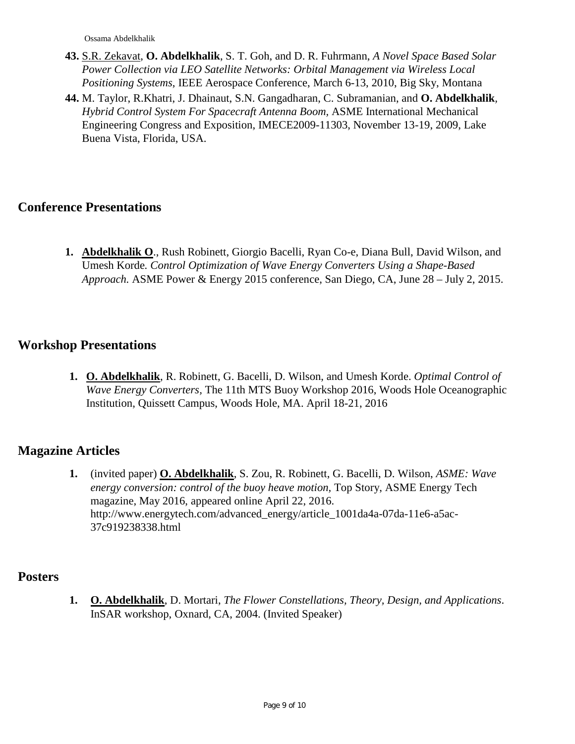- **43.** S.R. Zekavat, **O. Abdelkhalik**, S. T. Goh, and D. R. Fuhrmann, *A Novel Space Based Solar Power Collection via LEO Satellite Networks: Orbital Management via Wireless Local Positioning Systems*, IEEE Aerospace Conference, March 6-13, 2010, Big Sky, Montana
- **44.** M. Taylor, R.Khatri, J. Dhainaut, S.N. Gangadharan, C. Subramanian, and **O. Abdelkhalik***, Hybrid Control System For Spacecraft Antenna Boom,* ASME International Mechanical Engineering Congress and Exposition, IMECE2009-11303, November 13-19, 2009, Lake Buena Vista, Florida, USA.

### **Conference Presentations**

**1. Abdelkhalik O**., Rush Robinett, Giorgio Bacelli, Ryan Co-e, Diana Bull, David Wilson, and Umesh Korde*. Control Optimization of Wave Energy Converters Using a Shape-Based Approach.* ASME Power & Energy 2015 conference, San Diego, CA, June 28 – July 2, 2015.

### **Workshop Presentations**

**1. O. Abdelkhalik**, R. Robinett, G. Bacelli, D. Wilson, and Umesh Korde. *Optimal Control of Wave Energy Converters,* The 11th MTS Buoy Workshop 2016, Woods Hole Oceanographic Institution, Quissett Campus, Woods Hole, MA. April 18-21, 2016

### **Magazine Articles**

**1.** (invited paper) **O. Abdelkhalik**, S. Zou, R. Robinett, G. Bacelli, D. Wilson, *ASME: Wave energy conversion: control of the buoy heave motion,* Top Story, ASME Energy Tech magazine, May 2016, appeared online April 22, 2016. http://www.energytech.com/advanced\_energy/article\_1001da4a-07da-11e6-a5ac-37c919238338.html

### **Posters**

**1. O. Abdelkhalik**, D. Mortari, *The Flower Constellations, Theory, Design, and Applications*. InSAR workshop, Oxnard, CA, 2004. (Invited Speaker)